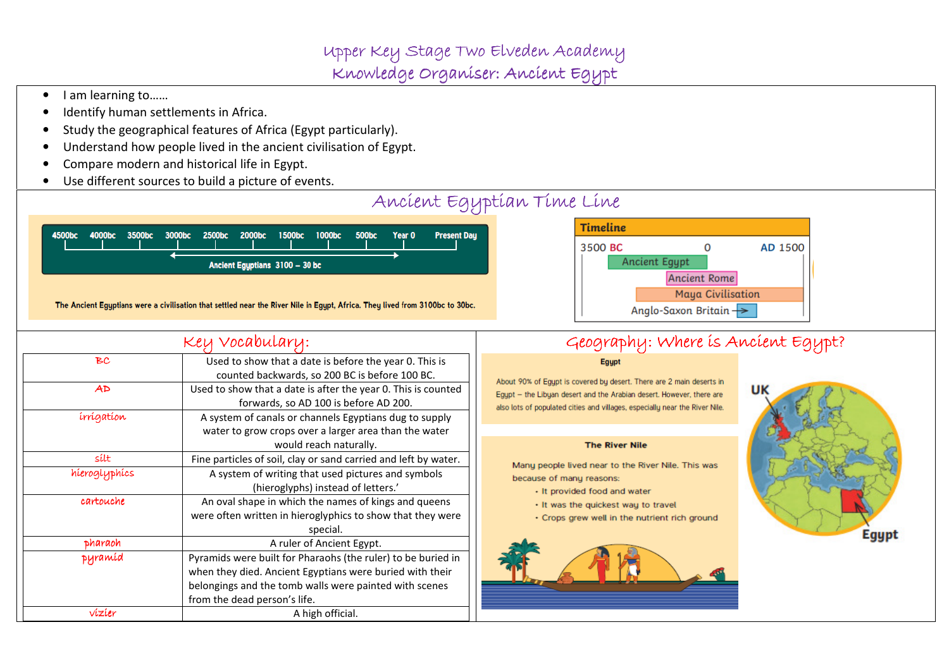•I am learning to……

hieroglyphics

cartouche

pharaoh pharaoh

pyramid pyramid

- •Identify human settlements in Africa.
- •Study the geographical features of Africa (Egypt particularly).
- •Understand how people lived in the ancient civilisation of Egypt.

water to grow crops over a larger area than the water would reach naturally.

 A system of writing that used pictures and symbols (hieroglyphs) instead of letters.'

 An oval shape in which the names of kings and queens were often written in hieroglyphics to show that they were special.

A ruler of Ancient Egypt.

 Pyramids were built for Pharaohs (the ruler) to be buried in when they died. Ancient Egyptians were buried with their belongings and the tomb walls were painted with scenes

 $\mathsf{Silt}$  Fine particles of soil, clay or sand carried and left by water.

from the dead person's life.

 $vizier$  A high official.

- •Compare modern and historical life in Egypt.
- •Use different sources to build a picture of events.



#### **The River Nile**

Many people lived near to the River Nile. This was because of many reasons:

- It provided food and water
- It was the quickest way to travel
- Crops grew well in the nutrient rich ground